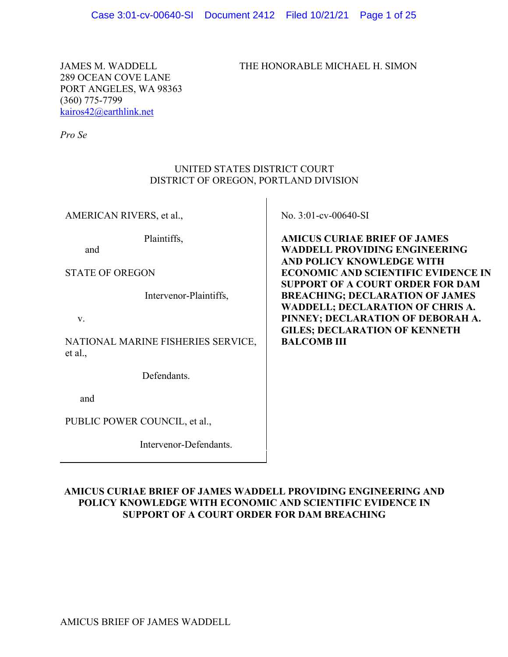JAMES M. WADDELL THE HONORABLE MICHAEL H. SIMON

289 OCEAN COVE LANE PORT ANGELES, WA 98363 (360) 775-7799 kairos42@earthlink.net

*Pro Se*

### UNITED STATES DISTRICT COURT DISTRICT OF OREGON, PORTLAND DIVISION

AMERICAN RIVERS, et al.,

Plaintiffs,

and

STATE OF OREGON

Intervenor-Plaintiffs,

v.

NATIONAL MARINE FISHERIES SERVICE, et al.,

Defendants.

and

PUBLIC POWER COUNCIL, et al.,

Intervenor-Defendants.

No. 3:01-cv-00640-SI

**AMICUS CURIAE BRIEF OF JAMES WADDELL PROVIDING ENGINEERING AND POLICY KNOWLEDGE WITH ECONOMIC AND SCIENTIFIC EVIDENCE IN SUPPORT OF A COURT ORDER FOR DAM BREACHING; DECLARATION OF JAMES WADDELL; DECLARATION OF CHRIS A. PINNEY; DECLARATION OF DEBORAH A. GILES; DECLARATION OF KENNETH BALCOMB III** 

### **AMICUS CURIAE BRIEF OF JAMES WADDELL PROVIDING ENGINEERING AND POLICY KNOWLEDGE WITH ECONOMIC AND SCIENTIFIC EVIDENCE IN SUPPORT OF A COURT ORDER FOR DAM BREACHING**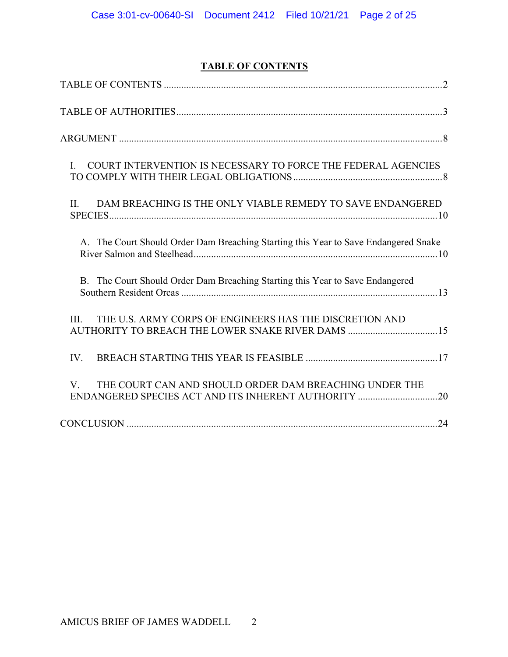# **TABLE OF CONTENTS**

| COURT INTERVENTION IS NECESSARY TO FORCE THE FEDERAL AGENCIES<br>$\mathbf{L}$                                        |
|----------------------------------------------------------------------------------------------------------------------|
| DAM BREACHING IS THE ONLY VIABLE REMEDY TO SAVE ENDANGERED<br>II.                                                    |
| A. The Court Should Order Dam Breaching Starting this Year to Save Endangered Snake                                  |
| B. The Court Should Order Dam Breaching Starting this Year to Save Endangered                                        |
| THE U.S. ARMY CORPS OF ENGINEERS HAS THE DISCRETION AND<br>III.<br>AUTHORITY TO BREACH THE LOWER SNAKE RIVER DAMS 15 |
| IV.                                                                                                                  |
| THE COURT CAN AND SHOULD ORDER DAM BREACHING UNDER THE<br>V.                                                         |
|                                                                                                                      |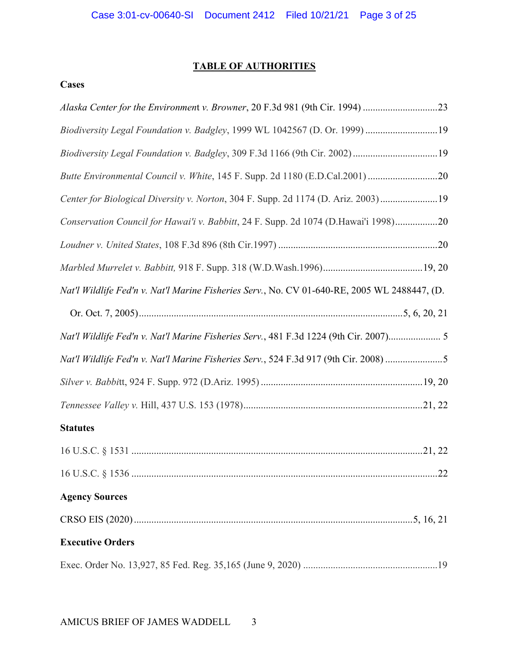## **TABLE OF AUTHORITIES**

# **Cases**

| Biodiversity Legal Foundation v. Badgley, 1999 WL 1042567 (D. Or. 1999) 19                   |
|----------------------------------------------------------------------------------------------|
|                                                                                              |
| Butte Environmental Council v. White, 145 F. Supp. 2d 1180 (E.D.Cal.2001) 20                 |
| Center for Biological Diversity v. Norton, 304 F. Supp. 2d 1174 (D. Ariz. 2003)19            |
| Conservation Council for Hawai'i v. Babbitt, 24 F. Supp. 2d 1074 (D.Hawai'i 1998)20          |
|                                                                                              |
|                                                                                              |
| Nat'l Wildlife Fed'n v. Nat'l Marine Fisheries Serv., No. CV 01-640-RE, 2005 WL 2488447, (D. |
|                                                                                              |
| Nat'l Wildlife Fed'n v. Nat'l Marine Fisheries Serv., 481 F.3d 1224 (9th Cir. 2007) 5        |
| Nat'l Wildlife Fed'n v. Nat'l Marine Fisheries Serv., 524 F.3d 917 (9th Cir. 2008) 5         |
|                                                                                              |
|                                                                                              |
| <b>Statutes</b>                                                                              |
|                                                                                              |
|                                                                                              |
| <b>Agency Sources</b>                                                                        |
|                                                                                              |
| <b>Executive Orders</b>                                                                      |
|                                                                                              |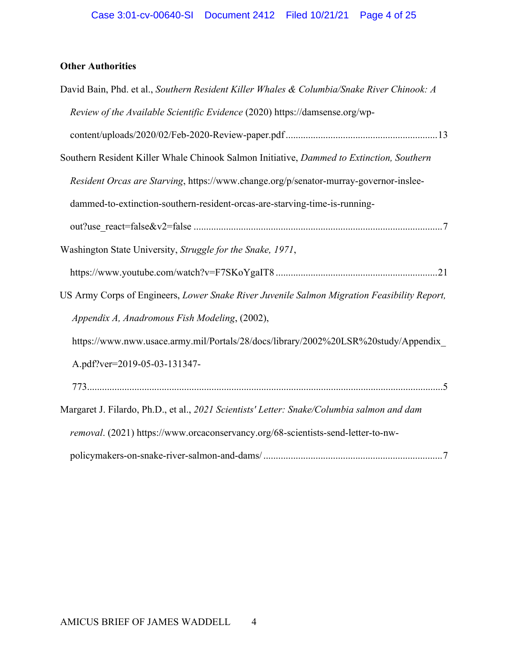# **Other Authorities**

| David Bain, Phd. et al., Southern Resident Killer Whales & Columbia/Snake River Chinook: A  |
|---------------------------------------------------------------------------------------------|
| Review of the Available Scientific Evidence (2020) https://damsense.org/wp-                 |
|                                                                                             |
| Southern Resident Killer Whale Chinook Salmon Initiative, Dammed to Extinction, Southern    |
| Resident Orcas are Starving, https://www.change.org/p/senator-murray-governor-inslee-       |
| dammed-to-extinction-southern-resident-orcas-are-starving-time-is-running-                  |
|                                                                                             |
| Washington State University, Struggle for the Snake, 1971,                                  |
|                                                                                             |
| US Army Corps of Engineers, Lower Snake River Juvenile Salmon Migration Feasibility Report, |
| Appendix A, Anadromous Fish Modeling, (2002),                                               |
| https://www.nww.usace.army.mil/Portals/28/docs/library/2002%20LSR%20study/Appendix          |
| A.pdf?ver=2019-05-03-131347-                                                                |
|                                                                                             |
| Margaret J. Filardo, Ph.D., et al., 2021 Scientists' Letter: Snake/Columbia salmon and dam  |
| removal. (2021) https://www.orcaconservancy.org/68-scientists-send-letter-to-nw-            |
|                                                                                             |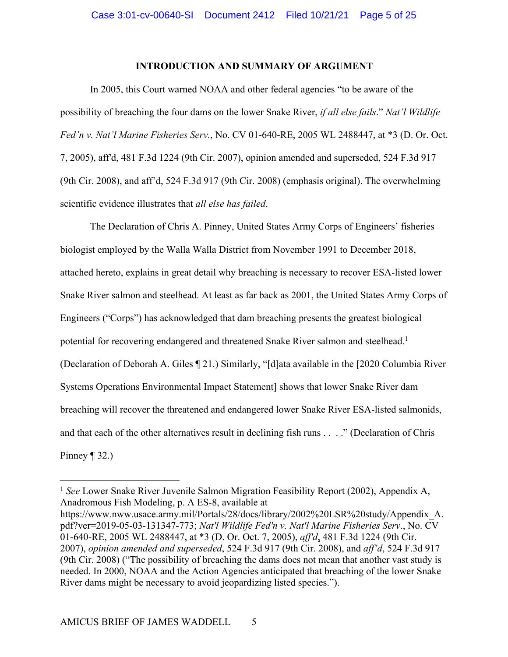#### **INTRODUCTION AND SUMMARY OF ARGUMENT**

In 2005, this Court warned NOAA and other federal agencies "to be aware of the possibility of breaching the four dams on the lower Snake River, *if all else fails*." *Nat'l Wildlife Fed'n v. Nat'l Marine Fisheries Serv.*, No. CV 01-640-RE, 2005 WL 2488447, at \*3 (D. Or. Oct. 7, 2005), aff'd, 481 F.3d 1224 (9th Cir. 2007), opinion amended and superseded, 524 F.3d 917 (9th Cir. 2008), and aff'd, 524 F.3d 917 (9th Cir. 2008) (emphasis original). The overwhelming scientific evidence illustrates that *all else has failed*.

The Declaration of Chris A. Pinney, United States Army Corps of Engineers' fisheries biologist employed by the Walla Walla District from November 1991 to December 2018, attached hereto, explains in great detail why breaching is necessary to recover ESA-listed lower Snake River salmon and steelhead. At least as far back as 2001, the United States Army Corps of Engineers ("Corps") has acknowledged that dam breaching presents the greatest biological potential for recovering endangered and threatened Snake River salmon and steelhead.<sup>1</sup> (Declaration of Deborah A. Giles ¶ 21.) Similarly, "[d]ata available in the [2020 Columbia River Systems Operations Environmental Impact Statement] shows that lower Snake River dam breaching will recover the threatened and endangered lower Snake River ESA-listed salmonids, and that each of the other alternatives result in declining fish runs . . . ." (Declaration of Chris Pinney  $\P$  32.)

<sup>&</sup>lt;sup>1</sup> See Lower Snake River Juvenile Salmon Migration Feasibility Report (2002), Appendix A, Anadromous Fish Modeling, p. A ES-8, available at

https://www.nww.usace.army.mil/Portals/28/docs/library/2002%20LSR%20study/Appendix\_A. pdf?ver=2019-05-03-131347-773; *Nat'l Wildlife Fed'n v. Nat'l Marine Fisheries Serv*., No. CV 01-640-RE, 2005 WL 2488447, at \*3 (D. Or. Oct. 7, 2005), *aff'd*, 481 F.3d 1224 (9th Cir. 2007), *opinion amended and superseded*, 524 F.3d 917 (9th Cir. 2008), and *aff'd*, 524 F.3d 917 (9th Cir. 2008) ("The possibility of breaching the dams does not mean that another vast study is needed. In 2000, NOAA and the Action Agencies anticipated that breaching of the lower Snake River dams might be necessary to avoid jeopardizing listed species.").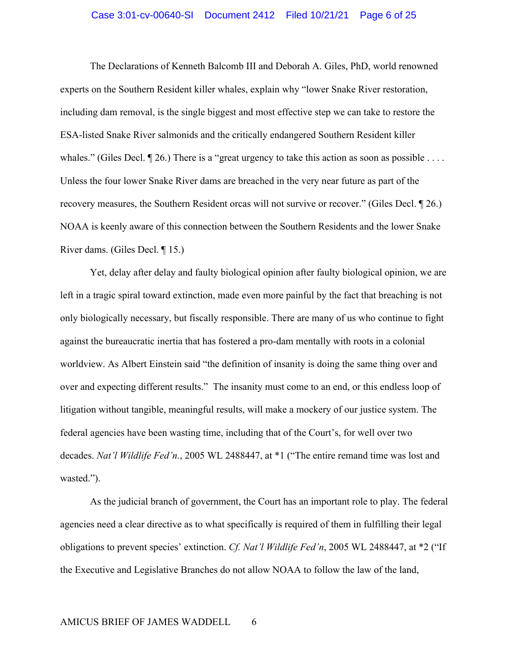#### Case 3:01-cv-00640-SI Document 2412 Filed 10/21/21 Page 6 of 25

The Declarations of Kenneth Balcomb III and Deborah A. Giles, PhD, world renowned experts on the Southern Resident killer whales, explain why "lower Snake River restoration, including dam removal, is the single biggest and most effective step we can take to restore the ESA-listed Snake River salmonids and the critically endangered Southern Resident killer whales." (Giles Decl.  $\P$  26.) There is a "great urgency to take this action as soon as possible .... Unless the four lower Snake River dams are breached in the very near future as part of the recovery measures, the Southern Resident orcas will not survive or recover." (Giles Decl. ¶ 26.) NOAA is keenly aware of this connection between the Southern Residents and the lower Snake River dams. (Giles Decl. ¶ 15.)

Yet, delay after delay and faulty biological opinion after faulty biological opinion, we are left in a tragic spiral toward extinction, made even more painful by the fact that breaching is not only biologically necessary, but fiscally responsible. There are many of us who continue to fight against the bureaucratic inertia that has fostered a pro-dam mentally with roots in a colonial worldview. As Albert Einstein said "the definition of insanity is doing the same thing over and over and expecting different results." The insanity must come to an end, or this endless loop of litigation without tangible, meaningful results, will make a mockery of our justice system. The federal agencies have been wasting time, including that of the Court's, for well over two decades. *Nat'l Wildlife Fed'n.*, 2005 WL 2488447, at \*1 ("The entire remand time was lost and wasted.").

As the judicial branch of government, the Court has an important role to play. The federal agencies need a clear directive as to what specifically is required of them in fulfilling their legal obligations to prevent species' extinction. *Cf. Nat'l Wildlife Fed'n*, 2005 WL 2488447, at \*2 ("If the Executive and Legislative Branches do not allow NOAA to follow the law of the land,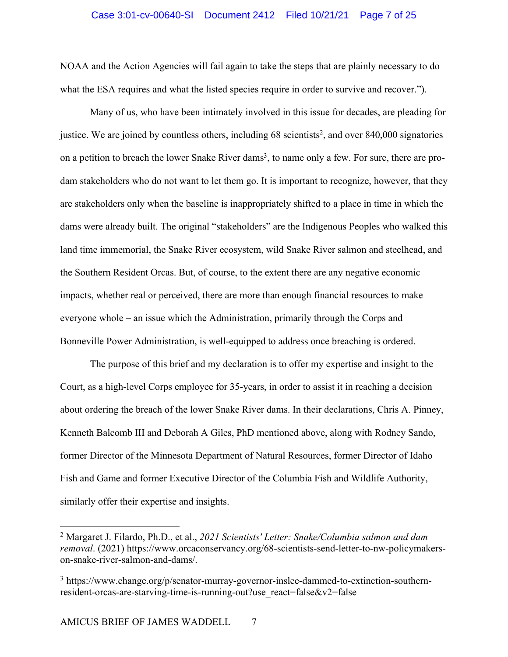#### Case 3:01-cv-00640-SI Document 2412 Filed 10/21/21 Page 7 of 25

NOAA and the Action Agencies will fail again to take the steps that are plainly necessary to do what the ESA requires and what the listed species require in order to survive and recover.").

Many of us, who have been intimately involved in this issue for decades, are pleading for justice. We are joined by countless others, including 68 scientists<sup>2</sup>, and over 840,000 signatories on a petition to breach the lower Snake River dams<sup>3</sup>, to name only a few. For sure, there are prodam stakeholders who do not want to let them go. It is important to recognize, however, that they are stakeholders only when the baseline is inappropriately shifted to a place in time in which the dams were already built. The original "stakeholders" are the Indigenous Peoples who walked this land time immemorial, the Snake River ecosystem, wild Snake River salmon and steelhead, and the Southern Resident Orcas. But, of course, to the extent there are any negative economic impacts, whether real or perceived, there are more than enough financial resources to make everyone whole – an issue which the Administration, primarily through the Corps and Bonneville Power Administration, is well-equipped to address once breaching is ordered.

The purpose of this brief and my declaration is to offer my expertise and insight to the Court, as a high-level Corps employee for 35-years, in order to assist it in reaching a decision about ordering the breach of the lower Snake River dams. In their declarations, Chris A. Pinney, Kenneth Balcomb III and Deborah A Giles, PhD mentioned above, along with Rodney Sando, former Director of the Minnesota Department of Natural Resources, former Director of Idaho Fish and Game and former Executive Director of the Columbia Fish and Wildlife Authority, similarly offer their expertise and insights.

<sup>2</sup> Margaret J. Filardo, Ph.D., et al., *2021 Scientists' Letter: Snake/Columbia salmon and dam removal*. (2021) https://www.orcaconservancy.org/68-scientists-send-letter-to-nw-policymakerson-snake-river-salmon-and-dams/.

<sup>3</sup> https://www.change.org/p/senator-murray-governor-inslee-dammed-to-extinction-southernresident-orcas-are-starving-time-is-running-out?use\_react=false&v2=false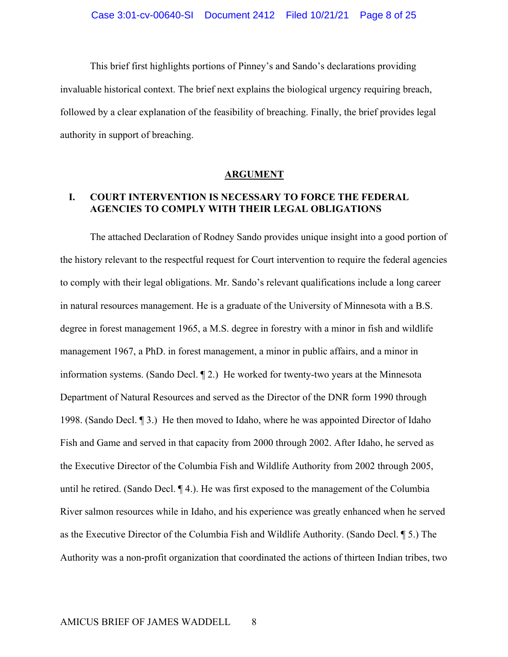This brief first highlights portions of Pinney's and Sando's declarations providing invaluable historical context. The brief next explains the biological urgency requiring breach, followed by a clear explanation of the feasibility of breaching. Finally, the brief provides legal authority in support of breaching.

#### **ARGUMENT**

## **I. COURT INTERVENTION IS NECESSARY TO FORCE THE FEDERAL AGENCIES TO COMPLY WITH THEIR LEGAL OBLIGATIONS**

The attached Declaration of Rodney Sando provides unique insight into a good portion of the history relevant to the respectful request for Court intervention to require the federal agencies to comply with their legal obligations. Mr. Sando's relevant qualifications include a long career in natural resources management. He is a graduate of the University of Minnesota with a B.S. degree in forest management 1965, a M.S. degree in forestry with a minor in fish and wildlife management 1967, a PhD. in forest management, a minor in public affairs, and a minor in information systems. (Sando Decl. ¶ 2.) He worked for twenty-two years at the Minnesota Department of Natural Resources and served as the Director of the DNR form 1990 through 1998. (Sando Decl. ¶ 3.) He then moved to Idaho, where he was appointed Director of Idaho Fish and Game and served in that capacity from 2000 through 2002. After Idaho, he served as the Executive Director of the Columbia Fish and Wildlife Authority from 2002 through 2005, until he retired. (Sando Decl. ¶ 4.). He was first exposed to the management of the Columbia River salmon resources while in Idaho, and his experience was greatly enhanced when he served as the Executive Director of the Columbia Fish and Wildlife Authority. (Sando Decl. ¶ 5.) The Authority was a non-profit organization that coordinated the actions of thirteen Indian tribes, two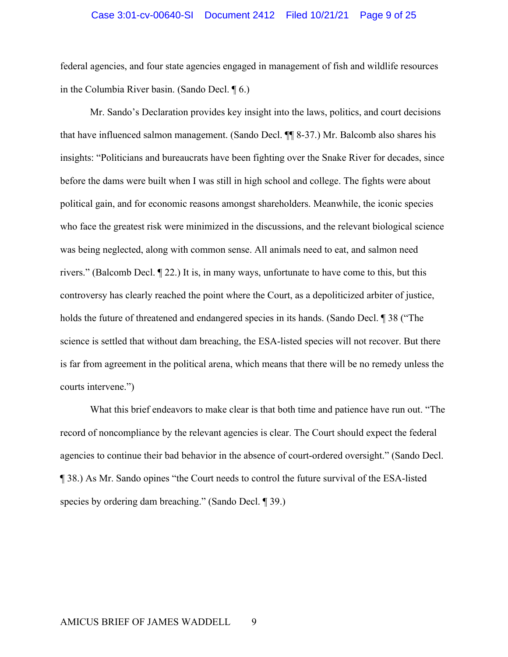#### Case 3:01-cv-00640-SI Document 2412 Filed 10/21/21 Page 9 of 25

federal agencies, and four state agencies engaged in management of fish and wildlife resources in the Columbia River basin. (Sando Decl. ¶ 6.)

Mr. Sando's Declaration provides key insight into the laws, politics, and court decisions that have influenced salmon management. (Sando Decl. ¶¶ 8-37.) Mr. Balcomb also shares his insights: "Politicians and bureaucrats have been fighting over the Snake River for decades, since before the dams were built when I was still in high school and college. The fights were about political gain, and for economic reasons amongst shareholders. Meanwhile, the iconic species who face the greatest risk were minimized in the discussions, and the relevant biological science was being neglected, along with common sense. All animals need to eat, and salmon need rivers." (Balcomb Decl. ¶ 22.) It is, in many ways, unfortunate to have come to this, but this controversy has clearly reached the point where the Court, as a depoliticized arbiter of justice, holds the future of threatened and endangered species in its hands. (Sando Decl. ¶ 38 ("The science is settled that without dam breaching, the ESA-listed species will not recover. But there is far from agreement in the political arena, which means that there will be no remedy unless the courts intervene.")

What this brief endeavors to make clear is that both time and patience have run out. "The record of noncompliance by the relevant agencies is clear. The Court should expect the federal agencies to continue their bad behavior in the absence of court-ordered oversight." (Sando Decl. ¶ 38.) As Mr. Sando opines "the Court needs to control the future survival of the ESA-listed species by ordering dam breaching." (Sando Decl. ¶ 39.)

### AMICUS BRIEF OF JAMES WADDELL 9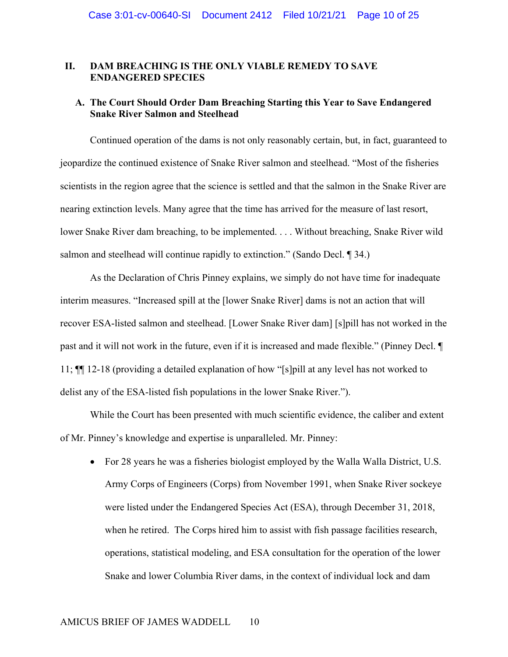### **II. DAM BREACHING IS THE ONLY VIABLE REMEDY TO SAVE ENDANGERED SPECIES**

### **A. The Court Should Order Dam Breaching Starting this Year to Save Endangered Snake River Salmon and Steelhead**

Continued operation of the dams is not only reasonably certain, but, in fact, guaranteed to jeopardize the continued existence of Snake River salmon and steelhead. "Most of the fisheries scientists in the region agree that the science is settled and that the salmon in the Snake River are nearing extinction levels. Many agree that the time has arrived for the measure of last resort, lower Snake River dam breaching, to be implemented. . . . Without breaching, Snake River wild salmon and steelhead will continue rapidly to extinction." (Sando Decl. ¶ 34.)

As the Declaration of Chris Pinney explains, we simply do not have time for inadequate interim measures. "Increased spill at the [lower Snake River] dams is not an action that will recover ESA-listed salmon and steelhead. [Lower Snake River dam] [s]pill has not worked in the past and it will not work in the future, even if it is increased and made flexible." (Pinney Decl. ¶ 11; ¶¶ 12-18 (providing a detailed explanation of how "[s]pill at any level has not worked to delist any of the ESA-listed fish populations in the lower Snake River.").

While the Court has been presented with much scientific evidence, the caliber and extent of Mr. Pinney's knowledge and expertise is unparalleled. Mr. Pinney:

• For 28 years he was a fisheries biologist employed by the Walla Walla District, U.S. Army Corps of Engineers (Corps) from November 1991, when Snake River sockeye were listed under the Endangered Species Act (ESA), through December 31, 2018, when he retired. The Corps hired him to assist with fish passage facilities research, operations, statistical modeling, and ESA consultation for the operation of the lower Snake and lower Columbia River dams, in the context of individual lock and dam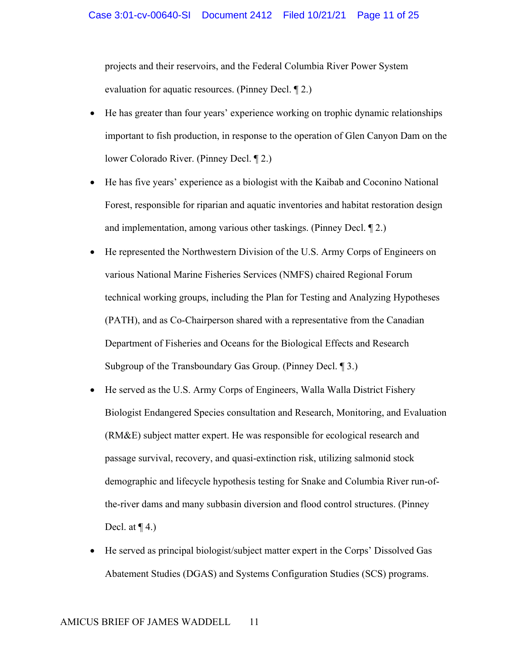projects and their reservoirs, and the Federal Columbia River Power System evaluation for aquatic resources. (Pinney Decl. ¶ 2.)

- He has greater than four years' experience working on trophic dynamic relationships important to fish production, in response to the operation of Glen Canyon Dam on the lower Colorado River. (Pinney Decl. ¶ 2.)
- He has five years' experience as a biologist with the Kaibab and Coconino National Forest, responsible for riparian and aquatic inventories and habitat restoration design and implementation, among various other taskings. (Pinney Decl. ¶ 2.)
- He represented the Northwestern Division of the U.S. Army Corps of Engineers on various National Marine Fisheries Services (NMFS) chaired Regional Forum technical working groups, including the Plan for Testing and Analyzing Hypotheses (PATH), and as Co-Chairperson shared with a representative from the Canadian Department of Fisheries and Oceans for the Biological Effects and Research Subgroup of the Transboundary Gas Group. (Pinney Decl. ¶ 3.)
- He served as the U.S. Army Corps of Engineers, Walla Walla District Fishery Biologist Endangered Species consultation and Research, Monitoring, and Evaluation (RM&E) subject matter expert. He was responsible for ecological research and passage survival, recovery, and quasi-extinction risk, utilizing salmonid stock demographic and lifecycle hypothesis testing for Snake and Columbia River run-ofthe-river dams and many subbasin diversion and flood control structures. (Pinney Decl. at  $\P$  4.)
- He served as principal biologist/subject matter expert in the Corps' Dissolved Gas Abatement Studies (DGAS) and Systems Configuration Studies (SCS) programs.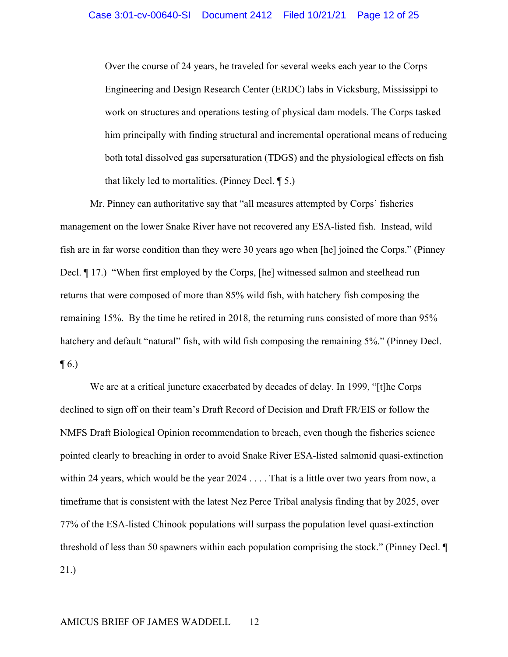Over the course of 24 years, he traveled for several weeks each year to the Corps Engineering and Design Research Center (ERDC) labs in Vicksburg, Mississippi to work on structures and operations testing of physical dam models. The Corps tasked him principally with finding structural and incremental operational means of reducing both total dissolved gas supersaturation (TDGS) and the physiological effects on fish that likely led to mortalities. (Pinney Decl. ¶ 5.)

Mr. Pinney can authoritative say that "all measures attempted by Corps' fisheries management on the lower Snake River have not recovered any ESA-listed fish. Instead, wild fish are in far worse condition than they were 30 years ago when [he] joined the Corps." (Pinney Decl. ¶ 17.) "When first employed by the Corps, [he] witnessed salmon and steelhead run returns that were composed of more than 85% wild fish, with hatchery fish composing the remaining 15%. By the time he retired in 2018, the returning runs consisted of more than 95% hatchery and default "natural" fish, with wild fish composing the remaining 5%." (Pinney Decl.  $\P$  6.)

We are at a critical juncture exacerbated by decades of delay. In 1999, "[t]he Corps declined to sign off on their team's Draft Record of Decision and Draft FR/EIS or follow the NMFS Draft Biological Opinion recommendation to breach, even though the fisheries science pointed clearly to breaching in order to avoid Snake River ESA-listed salmonid quasi-extinction within 24 years, which would be the year 2024 . . . . That is a little over two years from now, a timeframe that is consistent with the latest Nez Perce Tribal analysis finding that by 2025, over 77% of the ESA-listed Chinook populations will surpass the population level quasi-extinction threshold of less than 50 spawners within each population comprising the stock." (Pinney Decl. ¶ 21.)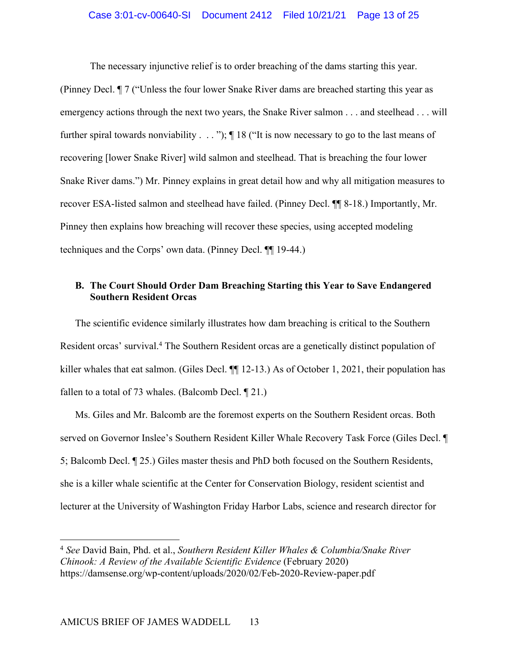The necessary injunctive relief is to order breaching of the dams starting this year.

(Pinney Decl. ¶ 7 ("Unless the four lower Snake River dams are breached starting this year as emergency actions through the next two years, the Snake River salmon . . . and steelhead . . . will further spiral towards nonviability . . . "); ¶ 18 ("It is now necessary to go to the last means of recovering [lower Snake River] wild salmon and steelhead. That is breaching the four lower Snake River dams.") Mr. Pinney explains in great detail how and why all mitigation measures to recover ESA-listed salmon and steelhead have failed. (Pinney Decl. ¶¶ 8-18.) Importantly, Mr. Pinney then explains how breaching will recover these species, using accepted modeling techniques and the Corps' own data. (Pinney Decl. ¶¶ 19-44.)

### **B. The Court Should Order Dam Breaching Starting this Year to Save Endangered Southern Resident Orcas**

The scientific evidence similarly illustrates how dam breaching is critical to the Southern Resident orcas' survival.4 The Southern Resident orcas are a genetically distinct population of killer whales that eat salmon. (Giles Decl.  $\P\P$  12-13.) As of October 1, 2021, their population has fallen to a total of 73 whales. (Balcomb Decl. ¶ 21.)

Ms. Giles and Mr. Balcomb are the foremost experts on the Southern Resident orcas. Both served on Governor Inslee's Southern Resident Killer Whale Recovery Task Force (Giles Decl. ¶ 5; Balcomb Decl. ¶ 25.) Giles master thesis and PhD both focused on the Southern Residents, she is a killer whale scientific at the Center for Conservation Biology, resident scientist and lecturer at the University of Washington Friday Harbor Labs, science and research director for

<sup>4</sup> *See* David Bain, Phd. et al., *Southern Resident Killer Whales & Columbia/Snake River Chinook: A Review of the Available Scientific Evidence* (February 2020) https://damsense.org/wp-content/uploads/2020/02/Feb-2020-Review-paper.pdf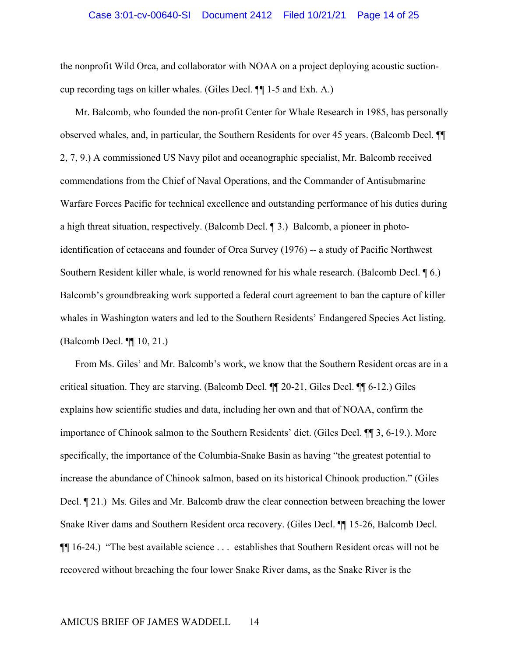#### Case 3:01-cv-00640-SI Document 2412 Filed 10/21/21 Page 14 of 25

the nonprofit Wild Orca, and collaborator with NOAA on a project deploying acoustic suctioncup recording tags on killer whales. (Giles Decl. ¶¶ 1-5 and Exh. A.)

Mr. Balcomb, who founded the non-profit Center for Whale Research in 1985, has personally observed whales, and, in particular, the Southern Residents for over 45 years. (Balcomb Decl. ¶¶ 2, 7, 9.) A commissioned US Navy pilot and oceanographic specialist, Mr. Balcomb received commendations from the Chief of Naval Operations, and the Commander of Antisubmarine Warfare Forces Pacific for technical excellence and outstanding performance of his duties during a high threat situation, respectively. (Balcomb Decl. ¶ 3.) Balcomb, a pioneer in photoidentification of cetaceans and founder of Orca Survey (1976) -- a study of Pacific Northwest Southern Resident killer whale, is world renowned for his whale research. (Balcomb Decl. ¶ 6.) Balcomb's groundbreaking work supported a federal court agreement to ban the capture of killer whales in Washington waters and led to the Southern Residents' Endangered Species Act listing. (Balcomb Decl. ¶¶ 10, 21.)

From Ms. Giles' and Mr. Balcomb's work, we know that the Southern Resident orcas are in a critical situation. They are starving. (Balcomb Decl. ¶¶ 20-21, Giles Decl. ¶¶ 6-12.) Giles explains how scientific studies and data, including her own and that of NOAA, confirm the importance of Chinook salmon to the Southern Residents' diet. (Giles Decl. ¶¶ 3, 6-19.). More specifically, the importance of the Columbia-Snake Basin as having "the greatest potential to increase the abundance of Chinook salmon, based on its historical Chinook production." (Giles Decl. ¶ 21.) Ms. Giles and Mr. Balcomb draw the clear connection between breaching the lower Snake River dams and Southern Resident orca recovery. (Giles Decl. ¶¶ 15-26, Balcomb Decl. ¶¶ 16-24.) "The best available science . . . establishes that Southern Resident orcas will not be recovered without breaching the four lower Snake River dams, as the Snake River is the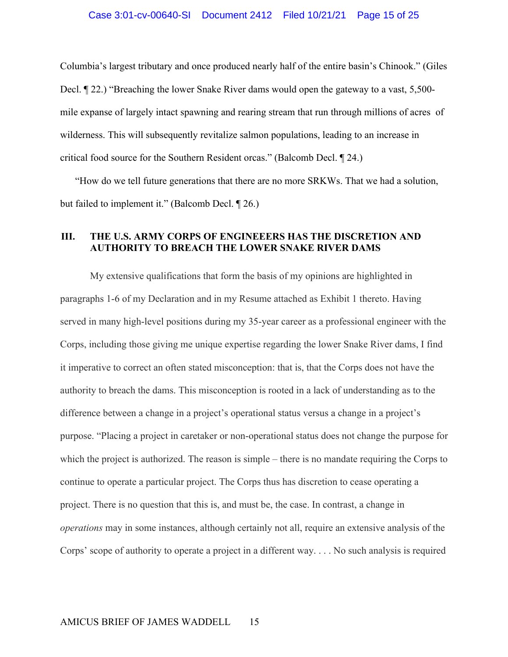Columbia's largest tributary and once produced nearly half of the entire basin's Chinook." (Giles Decl. ¶ 22.) "Breaching the lower Snake River dams would open the gateway to a vast, 5,500 mile expanse of largely intact spawning and rearing stream that run through millions of acres of wilderness. This will subsequently revitalize salmon populations, leading to an increase in critical food source for the Southern Resident orcas." (Balcomb Decl. ¶ 24.)

"How do we tell future generations that there are no more SRKWs. That we had a solution, but failed to implement it." (Balcomb Decl. ¶ 26.)

### **III. THE U.S. ARMY CORPS OF ENGINEEERS HAS THE DISCRETION AND AUTHORITY TO BREACH THE LOWER SNAKE RIVER DAMS**

My extensive qualifications that form the basis of my opinions are highlighted in paragraphs 1-6 of my Declaration and in my Resume attached as Exhibit 1 thereto. Having served in many high-level positions during my 35-year career as a professional engineer with the Corps, including those giving me unique expertise regarding the lower Snake River dams, I find it imperative to correct an often stated misconception: that is, that the Corps does not have the authority to breach the dams. This misconception is rooted in a lack of understanding as to the difference between a change in a project's operational status versus a change in a project's purpose. "Placing a project in caretaker or non-operational status does not change the purpose for which the project is authorized. The reason is simple – there is no mandate requiring the Corps to continue to operate a particular project. The Corps thus has discretion to cease operating a project. There is no question that this is, and must be, the case. In contrast, a change in *operations* may in some instances, although certainly not all, require an extensive analysis of the Corps' scope of authority to operate a project in a different way. . . . No such analysis is required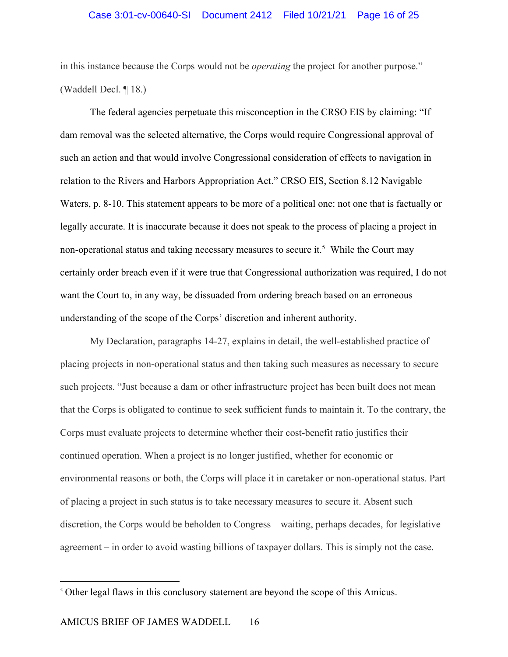in this instance because the Corps would not be *operating* the project for another purpose." (Waddell Decl. ¶ 18.)

The federal agencies perpetuate this misconception in the CRSO EIS by claiming: "If dam removal was the selected alternative, the Corps would require Congressional approval of such an action and that would involve Congressional consideration of effects to navigation in relation to the Rivers and Harbors Appropriation Act." CRSO EIS, Section 8.12 Navigable Waters, p. 8-10. This statement appears to be more of a political one: not one that is factually or legally accurate. It is inaccurate because it does not speak to the process of placing a project in non-operational status and taking necessary measures to secure it.<sup>5</sup> While the Court may certainly order breach even if it were true that Congressional authorization was required, I do not want the Court to, in any way, be dissuaded from ordering breach based on an erroneous understanding of the scope of the Corps' discretion and inherent authority.

My Declaration, paragraphs 14-27, explains in detail, the well-established practice of placing projects in non-operational status and then taking such measures as necessary to secure such projects. "Just because a dam or other infrastructure project has been built does not mean that the Corps is obligated to continue to seek sufficient funds to maintain it. To the contrary, the Corps must evaluate projects to determine whether their cost-benefit ratio justifies their continued operation. When a project is no longer justified, whether for economic or environmental reasons or both, the Corps will place it in caretaker or non-operational status. Part of placing a project in such status is to take necessary measures to secure it. Absent such discretion, the Corps would be beholden to Congress – waiting, perhaps decades, for legislative agreement – in order to avoid wasting billions of taxpayer dollars. This is simply not the case.

<sup>&</sup>lt;sup>5</sup> Other legal flaws in this conclusory statement are beyond the scope of this Amicus.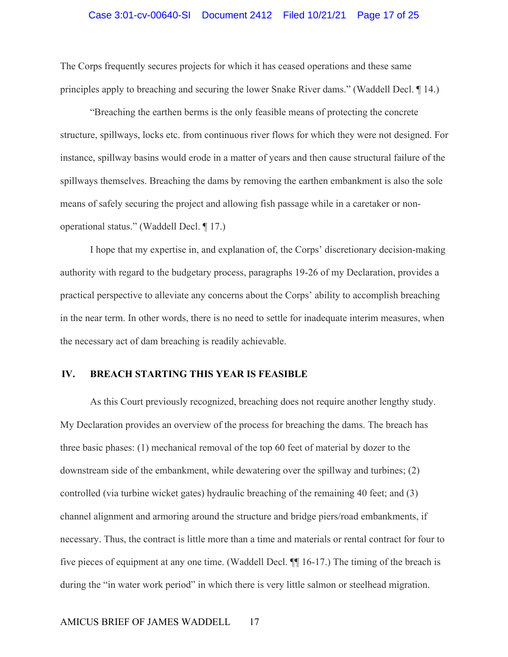#### Case 3:01-cv-00640-SI Document 2412 Filed 10/21/21 Page 17 of 25

The Corps frequently secures projects for which it has ceased operations and these same principles apply to breaching and securing the lower Snake River dams." (Waddell Decl. ¶ 14.)

"Breaching the earthen berms is the only feasible means of protecting the concrete structure, spillways, locks etc. from continuous river flows for which they were not designed. For instance, spillway basins would erode in a matter of years and then cause structural failure of the spillways themselves. Breaching the dams by removing the earthen embankment is also the sole means of safely securing the project and allowing fish passage while in a caretaker or nonoperational status." (Waddell Decl. ¶ 17.)

I hope that my expertise in, and explanation of, the Corps' discretionary decision-making authority with regard to the budgetary process, paragraphs 19-26 of my Declaration, provides a practical perspective to alleviate any concerns about the Corps' ability to accomplish breaching in the near term. In other words, there is no need to settle for inadequate interim measures, when the necessary act of dam breaching is readily achievable.

### **IV. BREACH STARTING THIS YEAR IS FEASIBLE**

As this Court previously recognized, breaching does not require another lengthy study. My Declaration provides an overview of the process for breaching the dams. The breach has three basic phases: (1) mechanical removal of the top 60 feet of material by dozer to the downstream side of the embankment, while dewatering over the spillway and turbines; (2) controlled (via turbine wicket gates) hydraulic breaching of the remaining 40 feet; and (3) channel alignment and armoring around the structure and bridge piers/road embankments, if necessary. Thus, the contract is little more than a time and materials or rental contract for four to five pieces of equipment at any one time. (Waddell Decl. ¶¶ 16-17.) The timing of the breach is during the "in water work period" in which there is very little salmon or steelhead migration.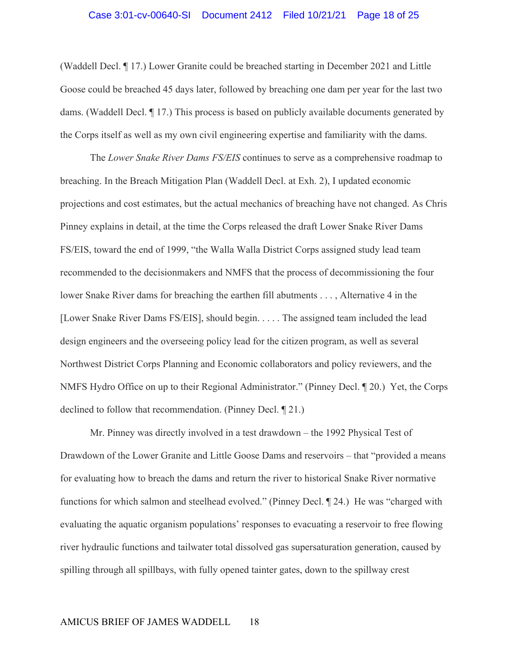(Waddell Decl. ¶ 17.) Lower Granite could be breached starting in December 2021 and Little Goose could be breached 45 days later, followed by breaching one dam per year for the last two dams. (Waddell Decl. ¶ 17.) This process is based on publicly available documents generated by the Corps itself as well as my own civil engineering expertise and familiarity with the dams.

The *Lower Snake River Dams FS/EIS* continues to serve as a comprehensive roadmap to breaching. In the Breach Mitigation Plan (Waddell Decl. at Exh. 2), I updated economic projections and cost estimates, but the actual mechanics of breaching have not changed. As Chris Pinney explains in detail, at the time the Corps released the draft Lower Snake River Dams FS/EIS, toward the end of 1999, "the Walla Walla District Corps assigned study lead team recommended to the decisionmakers and NMFS that the process of decommissioning the four lower Snake River dams for breaching the earthen fill abutments . . . , Alternative 4 in the [Lower Snake River Dams FS/EIS], should begin. . . . . The assigned team included the lead design engineers and the overseeing policy lead for the citizen program, as well as several Northwest District Corps Planning and Economic collaborators and policy reviewers, and the NMFS Hydro Office on up to their Regional Administrator." (Pinney Decl. ¶ 20.) Yet, the Corps declined to follow that recommendation. (Pinney Decl. ¶ 21.)

Mr. Pinney was directly involved in a test drawdown – the 1992 Physical Test of Drawdown of the Lower Granite and Little Goose Dams and reservoirs – that "provided a means for evaluating how to breach the dams and return the river to historical Snake River normative functions for which salmon and steelhead evolved." (Pinney Decl. ¶ 24.) He was "charged with evaluating the aquatic organism populations' responses to evacuating a reservoir to free flowing river hydraulic functions and tailwater total dissolved gas supersaturation generation, caused by spilling through all spillbays, with fully opened tainter gates, down to the spillway crest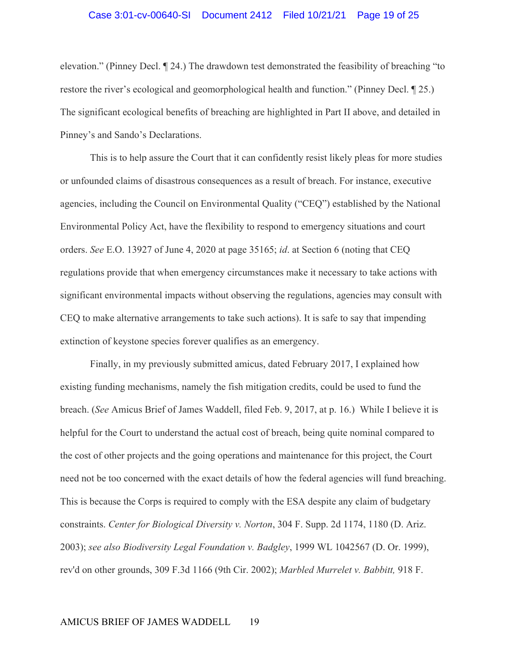### Case 3:01-cv-00640-SI Document 2412 Filed 10/21/21 Page 19 of 25

elevation." (Pinney Decl. ¶ 24.) The drawdown test demonstrated the feasibility of breaching "to restore the river's ecological and geomorphological health and function." (Pinney Decl. ¶ 25.) The significant ecological benefits of breaching are highlighted in Part II above, and detailed in Pinney's and Sando's Declarations.

This is to help assure the Court that it can confidently resist likely pleas for more studies or unfounded claims of disastrous consequences as a result of breach. For instance, executive agencies, including the Council on Environmental Quality ("CEQ") established by the National Environmental Policy Act, have the flexibility to respond to emergency situations and court orders. *See* E.O. 13927 of June 4, 2020 at page 35165; *id*. at Section 6 (noting that CEQ regulations provide that when emergency circumstances make it necessary to take actions with significant environmental impacts without observing the regulations, agencies may consult with CEQ to make alternative arrangements to take such actions). It is safe to say that impending extinction of keystone species forever qualifies as an emergency.

Finally, in my previously submitted amicus, dated February 2017, I explained how existing funding mechanisms, namely the fish mitigation credits, could be used to fund the breach. (*See* Amicus Brief of James Waddell, filed Feb. 9, 2017, at p. 16.) While I believe it is helpful for the Court to understand the actual cost of breach, being quite nominal compared to the cost of other projects and the going operations and maintenance for this project, the Court need not be too concerned with the exact details of how the federal agencies will fund breaching. This is because the Corps is required to comply with the ESA despite any claim of budgetary constraints. *Center for Biological Diversity v. Norton*, 304 F. Supp. 2d 1174, 1180 (D. Ariz. 2003); *see also Biodiversity Legal Foundation v. Badgley*, 1999 WL 1042567 (D. Or. 1999), rev'd on other grounds, 309 F.3d 1166 (9th Cir. 2002); *Marbled Murrelet v. Babbitt,* 918 F.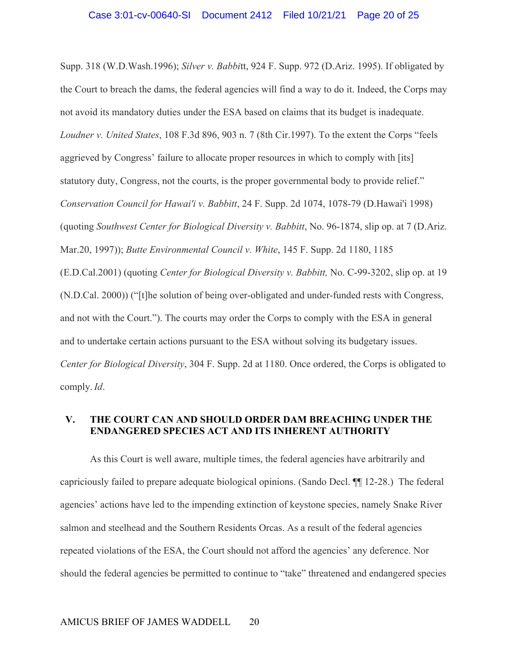Supp. 318 (W.D.Wash.1996); *Silver v. Babbi*tt, 924 F. Supp. 972 (D.Ariz. 1995). If obligated by the Court to breach the dams, the federal agencies will find a way to do it. Indeed, the Corps may not avoid its mandatory duties under the ESA based on claims that its budget is inadequate. *Loudner v. United States*, 108 F.3d 896, 903 n. 7 (8th Cir.1997). To the extent the Corps "feels aggrieved by Congress' failure to allocate proper resources in which to comply with [its] statutory duty, Congress, not the courts, is the proper governmental body to provide relief." *Conservation Council for Hawai'i v. Babbitt*, 24 F. Supp. 2d 1074, 1078-79 (D.Hawai'i 1998) (quoting *Southwest Center for Biological Diversity v. Babbitt*, No. 96-1874, slip op. at 7 (D.Ariz. Mar.20, 1997)); *Butte Environmental Council v. White*, 145 F. Supp. 2d 1180, 1185 (E.D.Cal.2001) (quoting *Center for Biological Diversity v. Babbitt,* No. C-99-3202, slip op. at 19 (N.D.Cal. 2000)) ("[t]he solution of being over-obligated and under-funded rests with Congress, and not with the Court."). The courts may order the Corps to comply with the ESA in general and to undertake certain actions pursuant to the ESA without solving its budgetary issues. *Center for Biological Diversity*, 304 F. Supp. 2d at 1180. Once ordered, the Corps is obligated to comply. *Id*.

### **V. THE COURT CAN AND SHOULD ORDER DAM BREACHING UNDER THE ENDANGERED SPECIES ACT AND ITS INHERENT AUTHORITY**

As this Court is well aware, multiple times, the federal agencies have arbitrarily and capriciously failed to prepare adequate biological opinions. (Sando Decl. ¶¶ 12-28.) The federal agencies' actions have led to the impending extinction of keystone species, namely Snake River salmon and steelhead and the Southern Residents Orcas. As a result of the federal agencies repeated violations of the ESA, the Court should not afford the agencies' any deference. Nor should the federal agencies be permitted to continue to "take" threatened and endangered species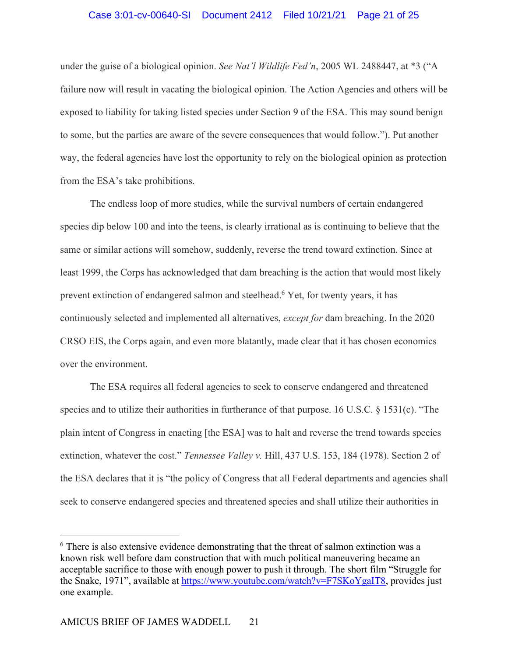#### Case 3:01-cv-00640-SI Document 2412 Filed 10/21/21 Page 21 of 25

under the guise of a biological opinion. *See Nat'l Wildlife Fed'n*, 2005 WL 2488447, at \*3 ("A failure now will result in vacating the biological opinion. The Action Agencies and others will be exposed to liability for taking listed species under Section 9 of the ESA. This may sound benign to some, but the parties are aware of the severe consequences that would follow."). Put another way, the federal agencies have lost the opportunity to rely on the biological opinion as protection from the ESA's take prohibitions.

The endless loop of more studies, while the survival numbers of certain endangered species dip below 100 and into the teens, is clearly irrational as is continuing to believe that the same or similar actions will somehow, suddenly, reverse the trend toward extinction. Since at least 1999, the Corps has acknowledged that dam breaching is the action that would most likely prevent extinction of endangered salmon and steelhead.6 Yet, for twenty years, it has continuously selected and implemented all alternatives, *except for* dam breaching. In the 2020 CRSO EIS, the Corps again, and even more blatantly, made clear that it has chosen economics over the environment.

The ESA requires all federal agencies to seek to conserve endangered and threatened species and to utilize their authorities in furtherance of that purpose. 16 U.S.C. § 1531(c). "The plain intent of Congress in enacting [the ESA] was to halt and reverse the trend towards species extinction, whatever the cost." *Tennessee Valley v.* Hill, 437 U.S. 153, 184 (1978). Section 2 of the ESA declares that it is "the policy of Congress that all Federal departments and agencies shall seek to conserve endangered species and threatened species and shall utilize their authorities in

<sup>&</sup>lt;sup>6</sup> There is also extensive evidence demonstrating that the threat of salmon extinction was a known risk well before dam construction that with much political maneuvering became an acceptable sacrifice to those with enough power to push it through. The short film "Struggle for the Snake, 1971", available at https://www.youtube.com/watch?v=F7SKoYgaIT8, provides just one example.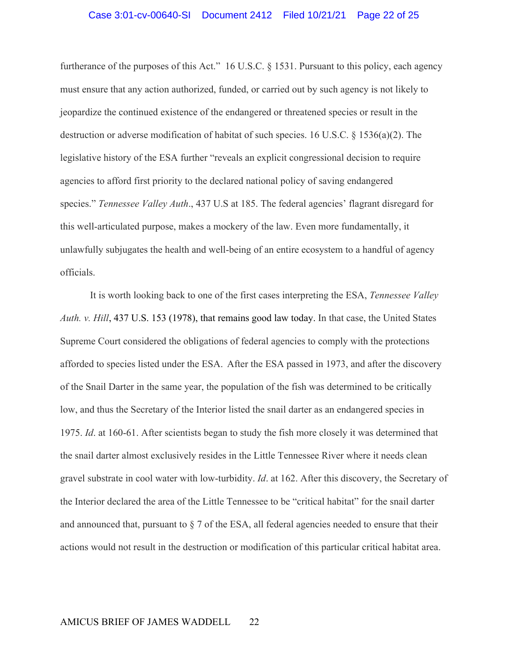furtherance of the purposes of this Act." 16 U.S.C. § 1531. Pursuant to this policy, each agency must ensure that any action authorized, funded, or carried out by such agency is not likely to jeopardize the continued existence of the endangered or threatened species or result in the destruction or adverse modification of habitat of such species. 16 U.S.C. § 1536(a)(2). The legislative history of the ESA further "reveals an explicit congressional decision to require agencies to afford first priority to the declared national policy of saving endangered species." *Tennessee Valley Auth*., 437 U.S at 185. The federal agencies' flagrant disregard for this well-articulated purpose, makes a mockery of the law. Even more fundamentally, it unlawfully subjugates the health and well-being of an entire ecosystem to a handful of agency officials.

It is worth looking back to one of the first cases interpreting the ESA, *Tennessee Valley Auth. v. Hill*, 437 U.S. 153 (1978), that remains good law today. In that case, the United States Supreme Court considered the obligations of federal agencies to comply with the protections afforded to species listed under the ESA. After the ESA passed in 1973, and after the discovery of the Snail Darter in the same year, the population of the fish was determined to be critically low, and thus the Secretary of the Interior listed the snail darter as an endangered species in 1975. *Id*. at 160-61. After scientists began to study the fish more closely it was determined that the snail darter almost exclusively resides in the Little Tennessee River where it needs clean gravel substrate in cool water with low-turbidity. *Id*. at 162. After this discovery, the Secretary of the Interior declared the area of the Little Tennessee to be "critical habitat" for the snail darter and announced that, pursuant to § 7 of the ESA, all federal agencies needed to ensure that their actions would not result in the destruction or modification of this particular critical habitat area.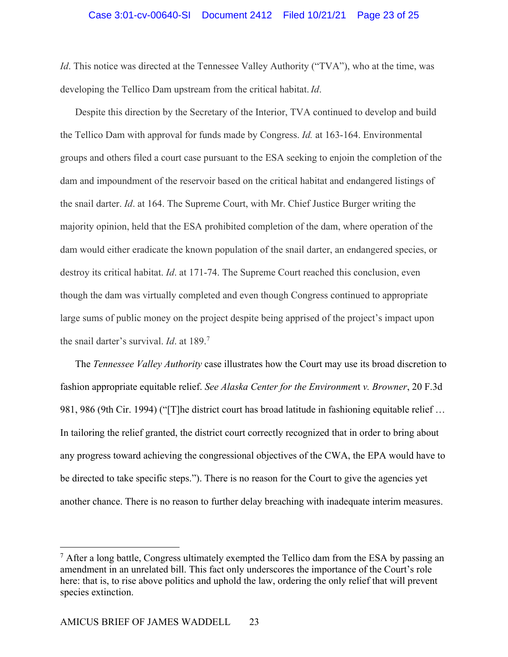*Id*. This notice was directed at the Tennessee Valley Authority ("TVA"), who at the time, was developing the Tellico Dam upstream from the critical habitat. *Id*.

Despite this direction by the Secretary of the Interior, TVA continued to develop and build the Tellico Dam with approval for funds made by Congress. *Id.* at 163-164. Environmental groups and others filed a court case pursuant to the ESA seeking to enjoin the completion of the dam and impoundment of the reservoir based on the critical habitat and endangered listings of the snail darter. *Id*. at 164. The Supreme Court, with Mr. Chief Justice Burger writing the majority opinion, held that the ESA prohibited completion of the dam, where operation of the dam would either eradicate the known population of the snail darter, an endangered species, or destroy its critical habitat. *Id*. at 171-74. The Supreme Court reached this conclusion, even though the dam was virtually completed and even though Congress continued to appropriate large sums of public money on the project despite being apprised of the project's impact upon the snail darter's survival. *Id*. at 189.7

The *Tennessee Valley Authority* case illustrates how the Court may use its broad discretion to fashion appropriate equitable relief. *See Alaska Center for the Environmen*t *v. Browner*, 20 F.3d 981, 986 (9th Cir. 1994) ("[T]he district court has broad latitude in fashioning equitable relief ... In tailoring the relief granted, the district court correctly recognized that in order to bring about any progress toward achieving the congressional objectives of the CWA, the EPA would have to be directed to take specific steps."). There is no reason for the Court to give the agencies yet another chance. There is no reason to further delay breaching with inadequate interim measures.

 $<sup>7</sup>$  After a long battle, Congress ultimately exempted the Tellico dam from the ESA by passing an</sup> amendment in an unrelated bill. This fact only underscores the importance of the Court's role here: that is, to rise above politics and uphold the law, ordering the only relief that will prevent species extinction.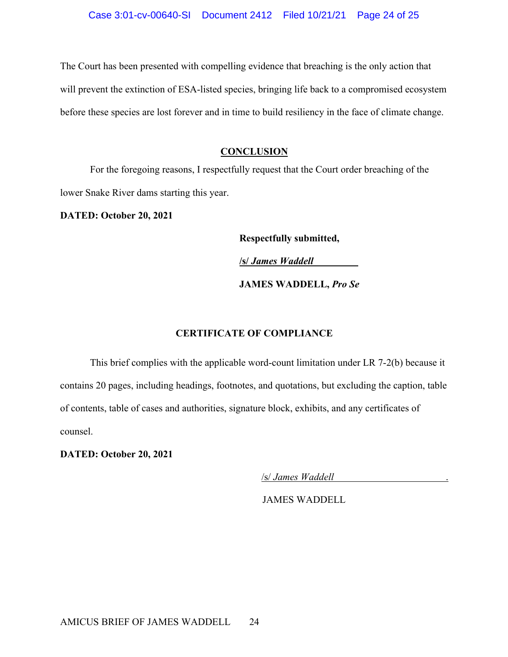The Court has been presented with compelling evidence that breaching is the only action that will prevent the extinction of ESA-listed species, bringing life back to a compromised ecosystem before these species are lost forever and in time to build resiliency in the face of climate change.

#### **CONCLUSION**

For the foregoing reasons, I respectfully request that the Court order breaching of the lower Snake River dams starting this year.

**DATED: October 20, 2021**

**Respectfully submitted,** 

**/s/** *James Waddell\_\_\_\_\_\_\_\_\_*

 **JAMES WADDELL,** *Pro Se*

#### **CERTIFICATE OF COMPLIANCE**

This brief complies with the applicable word-count limitation under LR 7-2(b) because it contains 20 pages, including headings, footnotes, and quotations, but excluding the caption, table of contents, table of cases and authorities, signature block, exhibits, and any certificates of counsel.

**DATED: October 20, 2021**

/s/ *James Waddell* .

JAMES WADDELL